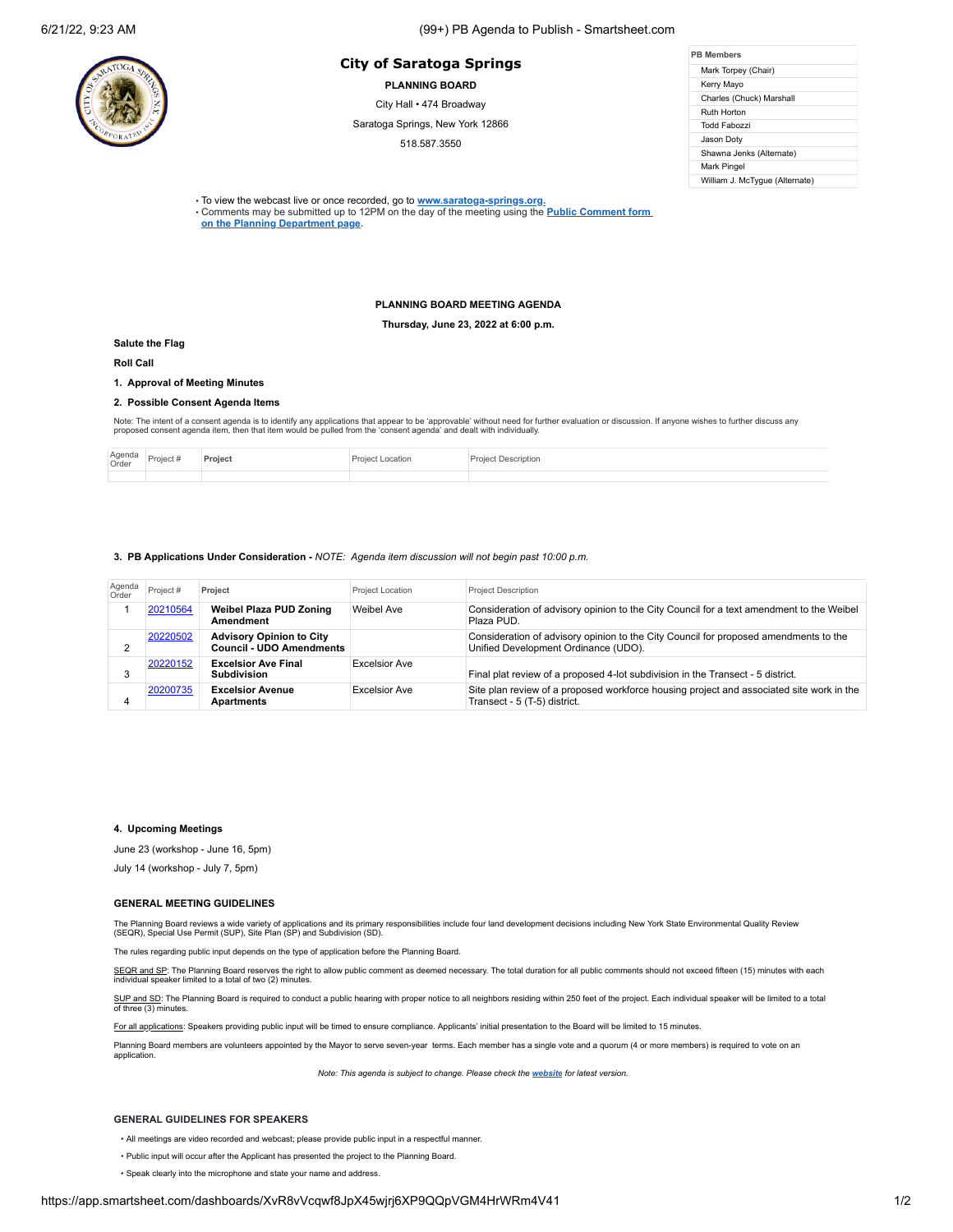# 6/21/22, 9:23 AM (99+) PB Agenda to Publish - Smartsheet.com

## **PB Members City of Saratoga Springs**

**PLANNING BOARD**

City Hall • 474 Broadway

Saratoga Springs, New York 12866

518.587.3550

| <b>PR Members</b>              |  |  |  |  |
|--------------------------------|--|--|--|--|
| Mark Torpey (Chair)            |  |  |  |  |
| Kerry Mayo                     |  |  |  |  |
| Charles (Chuck) Marshall       |  |  |  |  |
| Ruth Horton                    |  |  |  |  |
| Todd Fabozzi                   |  |  |  |  |
| Jason Doty                     |  |  |  |  |
| Shawna Jenks (Alternate)       |  |  |  |  |
| Mark Pingel                    |  |  |  |  |
| William J. McTyque (Alternate) |  |  |  |  |

• To view the webcast live or once recorded, go to **[www.saratoga-springs.org](http://www.saratoga-springs.org/).**

• Comments may be submitted [up to 12PM on the day of the meeting using the](https://saratoga-springs.org/FormCenter/Planning-Board-8/Land-Use-Board-Agenda-Public-Comment-95) **Public Comment form on the Planning Department page.**

### **PLANNING BOARD MEETING AGENDA**

**Thursday, June 23, 2022 at 6:00 p.m.**

#### **Salute the Flag**

**Roll Call**

# **1. Approval of Meeting Minutes**

#### **2. Possible Consent Agenda Items**

Note: The intent of a consent agenda is to identify any applications that appear to be 'approvable' without need for further evaluation or discussion. If anyone wishes to further discuss any<br>proposed consent agenda item, t

| Agenda<br>Order | Project <sub>n</sub> | Projec | Projec<br>.ocation | <i>lescriptior</i> |
|-----------------|----------------------|--------|--------------------|--------------------|
|                 |                      |        |                    |                    |

#### **3. PB Applications Under Consideration -** *NOTE: Agenda item discussion will not begin past 10:00 p.m.*

| Agenda<br>Order | Project # | Project                                                            | Project Location     | <b>Project Description</b>                                                                                                   |
|-----------------|-----------|--------------------------------------------------------------------|----------------------|------------------------------------------------------------------------------------------------------------------------------|
|                 | 20210564  | <b>Weibel Plaza PUD Zoning</b><br>Amendment                        | Weibel Ave           | Consideration of advisory opinion to the City Council for a text amendment to the Weibel<br>Plaza PUD.                       |
|                 | 20220502  | <b>Advisory Opinion to City</b><br><b>Council - UDO Amendments</b> |                      | Consideration of advisory opinion to the City Council for proposed amendments to the<br>Unified Development Ordinance (UDO). |
|                 | 20220152  | <b>Excelsior Ave Final</b><br><b>Subdivision</b>                   | <b>Excelsior Ave</b> | Final plat review of a proposed 4-lot subdivision in the Transect - 5 district.                                              |
| 4               | 20200735  | <b>Excelsior Avenue</b><br>Apartments                              | <b>Excelsior Ave</b> | Site plan review of a proposed workforce housing project and associated site work in the<br>Transect - 5 (T-5) district.     |

### **4. Upcoming Meetings**

June 23 (workshop - June 16, 5pm)

July 14 (workshop - July 7, 5pm)

#### **GENERAL MEETING GUIDELINES**

The Planning Board reviews a wide variety of applications and its primary responsibilities include four land development decisions including New York State Environmental Quality Review<br>(SEQR), Special Use Permit (SUP), Sit

The rules regarding public input depends on the type of application before the Planning Board.

SEQR and SP: The Planning Board reserves the right to allow public comment as deemed necessary. The total duration for all public comments should not exceed fifteen (15) minutes with each individual speaker limited to a total of two (2) minutes.

SUP and SD: The Planning Board is required to conduct a public hearing with proper notice to all neighbors residing within 250 feet of the project. Each individual speaker will be limited to a total of three (3) minutes.

For all applications: Speakers providing public input will be timed to ensure compliance. Applicants' initial presentation to the Board will be limited to 15 minutes.

Planning Board members are volunteers appointed by the Mayor to serve seven-year terms. Each member has a single vote and a quorum (4 or more members) is required to vote on an application.

*Note: This agenda is subject to change. Please check the [website](https://saratoga-springs.org/AgendaCenter/ViewFile/Agenda/2604?html=true) for latest version.*

#### **GENERAL GUIDELINES FOR SPEAKERS**

- All meetings are video recorded and webcast; please provide public input in a respectful manner.
- Public input will occur after the Applicant has presented the project to the Planning Board.
- Speak clearly into the microphone and state your name and address.